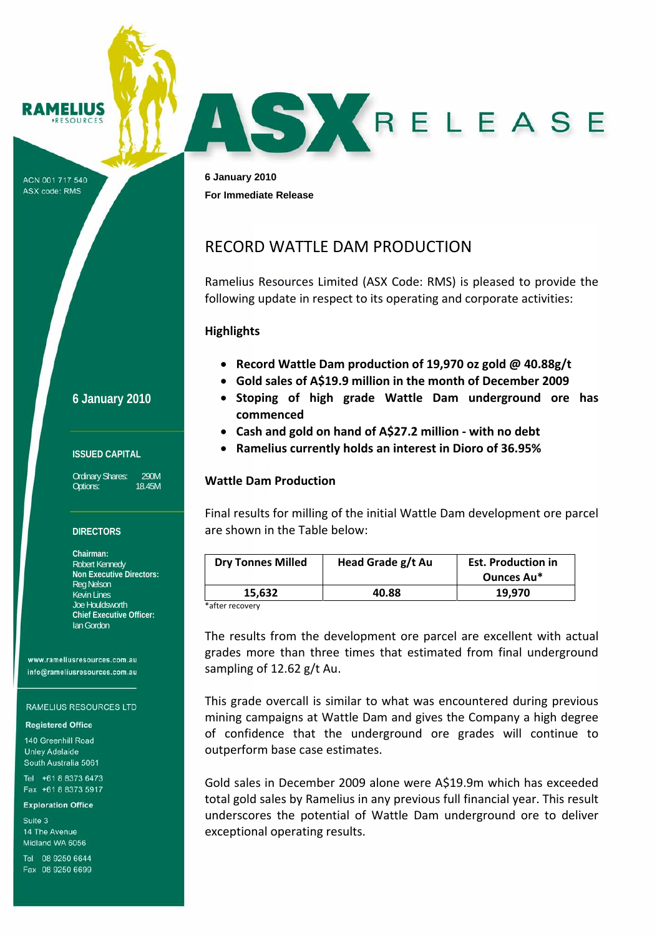AMELIUS ESOUPCE

ACN 001 717 540 ASX code: RMS

**6 January 2010 For Immediate Release** 

# RECORD WATTLE DAM PRODUCTION

Ramelius Resources Limited (ASX Code: RMS) is pleased to provide the following update in respect to its operating and corporate activities:

SKRELEASE

## **Highlights**

- **Record Wattle Dam production of 19,970 oz gold @ 40.88g/t**
- **Gold sales of A\$19.9 million in the month of December 2009**
- **Stoping of high grade Wattle Dam underground ore has commenced**
- **Cash and gold on hand of A\$27.2 million ‐ with no debt**
- **Ramelius currently holds an interest in Dioro of 36.95%**

## **Wattle Dam Production**

Final results for milling of the initial Wattle Dam development ore parcel are shown in the Table below:

| <b>Dry Tonnes Milled</b> | Head Grade g/t Au | <b>Est. Production in</b> |
|--------------------------|-------------------|---------------------------|
|                          |                   | Ounces Au*                |
| 15.632                   | 40.88             | 19,970                    |
|                          |                   |                           |

after recovery<sup>.</sup>

The results from the development ore parcel are excellent with actual grades more than three times that estimated from final underground sampling of 12.62 g/t Au.

This grade overcall is similar to what was encountered during previous mining campaigns at Wattle Dam and gives the Company a high degree of confidence that the underground ore grades will continue to outperform base case estimates.

Gold sales in December 2009 alone were A\$19.9m which has exceeded total gold sales by Ramelius in any previous full financial year. This result underscores the potential of Wattle Dam underground ore to deliver exceptional operating results.

**6 January 2010**

#### **ISSUED CAPITAL**

Ordinary Shares: 290M Options: 18.45M

### **DIRECTORS**

**Chairman:**  Robert Kennedy **Non Executive Directors:**  Reg Nelson Kevin Lines Joe Houldsworth **Chief Executive Officer:**  Ian Gordon

www.rameliusresources.com.au info@rameliusresources.com.au

#### **RAMELIUS RESOURCES LTD**

### **Registered Office**

140 Greenhill Road **Unley Adelaide** South Australia 5061

Tel +61 8 8373 6473 Fax +61 8 8373 5917

#### **Exploration Office**

Suite 3 14 The Avenue Midland WA 6056

Tel 08 9250 6644 Fax 08 9250 6699